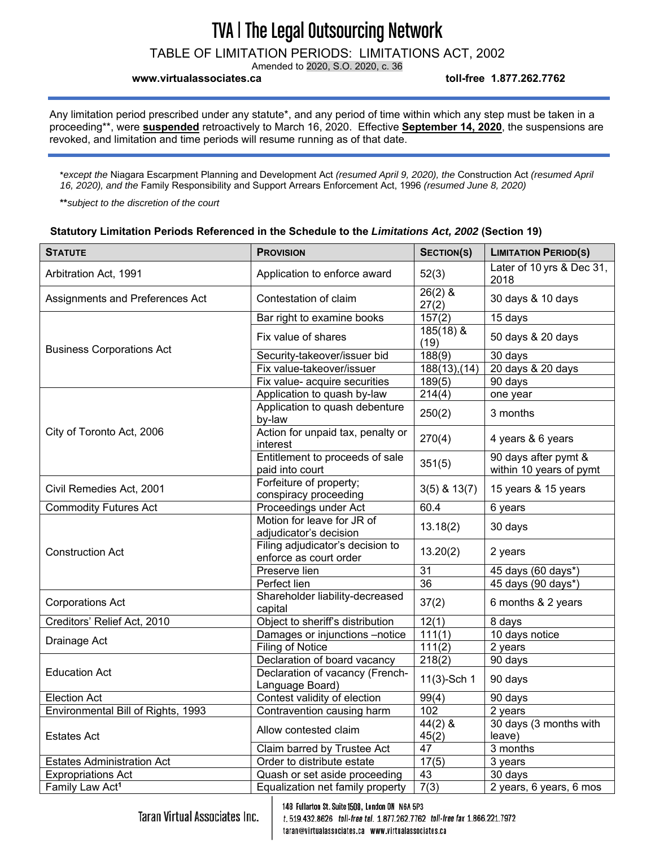TABLE OF LIMITATION PERIODS: LIMITATIONS ACT, 2002

Amended to 2020, S.O. 2020, c. 36

**www.virtualassociates.ca toll-free 1.877.262.7762** 

Any limitation period prescribed under any statute\*, and any period of time within which any step must be taken in a proceeding\*\*, were **suspended** retroactively to March 16, 2020. Effective **September 14, 2020**, the suspensions are revoked, and limitation and time periods will resume running as of that date.

**\****except the* Niagara Escarpment Planning and Development Act *(resumed April 9, 2020), the* Construction Act *(resumed April 16, 2020), and the* Family Responsibility and Support Arrears Enforcement Act, 1996 *(resumed June 8, 2020)*

**\*\****subject to the discretion of the court*

#### **Statutory Limitation Periods Referenced in the Schedule to the** *Limitations Act, 2002* **(Section 19)**

| <b>STATUTE</b>                     | <b>PROVISION</b>                                           | <b>SECTION(S)</b>   | <b>LIMITATION PERIOD(S)</b>                     |
|------------------------------------|------------------------------------------------------------|---------------------|-------------------------------------------------|
| Arbitration Act, 1991              | Application to enforce award                               | 52(3)               | Later of 10 yrs & Dec 31,<br>2018               |
| Assignments and Preferences Act    | Contestation of claim                                      | $26(2)$ &<br>27(2)  | 30 days & 10 days                               |
|                                    | Bar right to examine books                                 | 157(2)              | 15 days                                         |
| <b>Business Corporations Act</b>   | Fix value of shares                                        | $185(18)$ &<br>(19) | 50 days & 20 days                               |
|                                    | Security-takeover/issuer bid                               | 188(9)              | $30$ days                                       |
|                                    | Fix value-takeover/issuer                                  | 188(13),(14)        | 20 days & 20 days                               |
|                                    | Fix value- acquire securities                              | 189(5)              | 90 days                                         |
|                                    | Application to quash by-law                                | 214(4)              | one year                                        |
|                                    | Application to quash debenture<br>by-law                   | 250(2)              | 3 months                                        |
| City of Toronto Act, 2006          | Action for unpaid tax, penalty or<br>interest              | 270(4)              | 4 years & 6 years                               |
|                                    | Entitlement to proceeds of sale<br>paid into court         | 351(5)              | 90 days after pymt &<br>within 10 years of pymt |
| Civil Remedies Act, 2001           | Forfeiture of property;<br>conspiracy proceeding           | $3(5)$ & $13(7)$    | 15 years & 15 years                             |
| <b>Commodity Futures Act</b>       | Proceedings under Act                                      | 60.4                | 6 years                                         |
|                                    | Motion for leave for JR of<br>adjudicator's decision       | 13.18(2)            | 30 days                                         |
| <b>Construction Act</b>            | Filing adjudicator's decision to<br>enforce as court order | 13.20(2)            | 2 years                                         |
|                                    | Preserve lien                                              | $\overline{31}$     | 45 days (60 days*)                              |
|                                    | Perfect lien                                               | 36                  | 45 days (90 days*)                              |
| <b>Corporations Act</b>            | Shareholder liability-decreased<br>capital                 | 37(2)               | 6 months & 2 years                              |
| Creditors' Relief Act, 2010        | Object to sheriff's distribution                           | 12(1)               | 8 days                                          |
|                                    | Damages or injunctions -notice                             | 111(1)              | 10 days notice                                  |
| Drainage Act                       | Filing of Notice                                           | 111(2)              | 2 years                                         |
| <b>Education Act</b>               | Declaration of board vacancy                               | 218(2)              | 90 days                                         |
|                                    | Declaration of vacancy (French-<br>Language Board)         | 11(3)-Sch 1         | 90 days                                         |
| <b>Election Act</b>                | Contest validity of election                               | 99(4)               | 90 days                                         |
| Environmental Bill of Rights, 1993 | Contravention causing harm                                 | 102                 | 2 years                                         |
| <b>Estates Act</b>                 | Allow contested claim                                      | $44(2)$ &<br>45(2)  | 30 days (3 months with<br>leave)                |
|                                    | Claim barred by Trustee Act                                | $\overline{47}$     | 3 months                                        |
| <b>Estates Administration Act</b>  | Order to distribute estate                                 | 17(5)               | 3 years                                         |
| <b>Expropriations Act</b>          | Quash or set aside proceeding                              | $\overline{43}$     | 30 days                                         |
| Family Law Act <sup>1</sup>        | Equalization net family property                           | 7(3)                | 2 years, 6 years, 6 mos                         |

**Taran Virtual Associates Inc.** 

148 Fullarton St. Suite 1508, London ON N6A 5P3 t. 519.432.8626 toll-free tel. 1.877.262.7762 toll-free fax 1.866.221.7972 taran@virtualassociates.ca www.virtualassociates.ca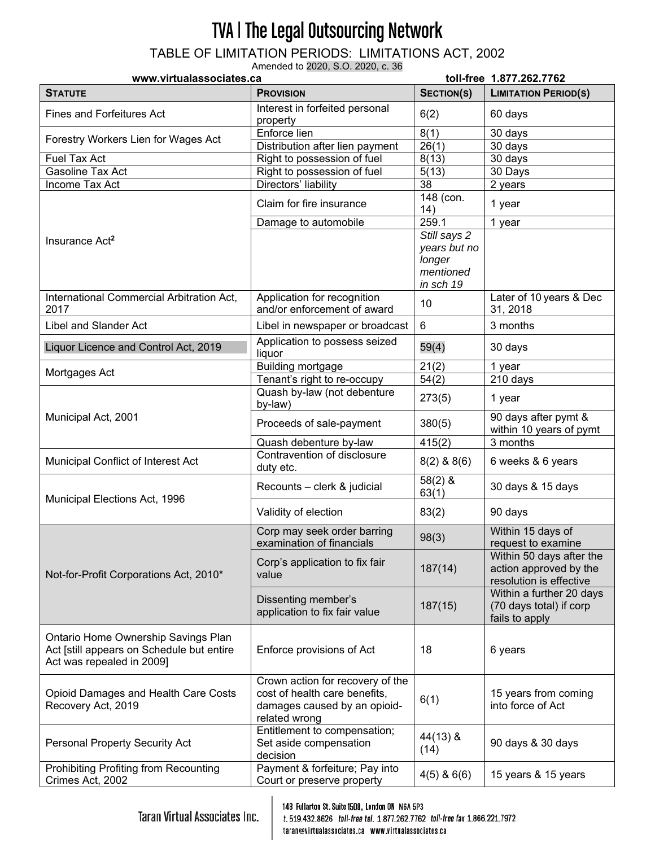TABLE OF LIMITATION PERIODS: LIMITATIONS ACT, 2002

Amended to 2020, S.O. 2020, c. 36

| www.virtualassociates.ca                                                                                      |                                                                                                                    | toll-free 1.877.262.7762      |                                                                               |
|---------------------------------------------------------------------------------------------------------------|--------------------------------------------------------------------------------------------------------------------|-------------------------------|-------------------------------------------------------------------------------|
| <b>STATUTE</b>                                                                                                | <b>PROVISION</b>                                                                                                   | SECTION(S)                    | <b>LIMITATION PERIOD(S)</b>                                                   |
| <b>Fines and Forfeitures Act</b>                                                                              | Interest in forfeited personal<br>property                                                                         | 6(2)                          | 60 days                                                                       |
| Forestry Workers Lien for Wages Act                                                                           | Enforce lien                                                                                                       | 8(1)                          | $\overline{3}0$ days                                                          |
|                                                                                                               | Distribution after lien payment                                                                                    | 26(1)                         | 30 days                                                                       |
| Fuel Tax Act                                                                                                  | Right to possession of fuel                                                                                        | 8(13)                         | 30 days                                                                       |
| <b>Gasoline Tax Act</b>                                                                                       | Right to possession of fuel                                                                                        | 5(13)                         | 30 Days                                                                       |
| Income Tax Act                                                                                                | Directors' liability                                                                                               | 38                            | 2 years                                                                       |
|                                                                                                               | Claim for fire insurance                                                                                           | $\overline{148}$ (con.<br>14) | 1 year                                                                        |
|                                                                                                               | Damage to automobile                                                                                               | 259.1                         | 1 year                                                                        |
| Insurance Act <sup>2</sup>                                                                                    |                                                                                                                    | Still says 2                  |                                                                               |
|                                                                                                               |                                                                                                                    | years but no                  |                                                                               |
|                                                                                                               |                                                                                                                    | longer                        |                                                                               |
|                                                                                                               |                                                                                                                    | mentioned                     |                                                                               |
|                                                                                                               |                                                                                                                    | in sch 19                     |                                                                               |
| International Commercial Arbitration Act,<br>2017                                                             | Application for recognition<br>and/or enforcement of award                                                         | 10                            | Later of 10 years & Dec<br>31, 2018                                           |
| Libel and Slander Act                                                                                         | Libel in newspaper or broadcast                                                                                    | $6\phantom{1}$                | 3 months                                                                      |
| Liquor Licence and Control Act, 2019                                                                          | Application to possess seized<br>liquor                                                                            | 59(4)                         | 30 days                                                                       |
|                                                                                                               | <b>Building mortgage</b>                                                                                           | 21(2)                         | 1 year                                                                        |
| Mortgages Act                                                                                                 | Tenant's right to re-occupy                                                                                        | 54(2)                         | 210 days                                                                      |
|                                                                                                               | Quash by-law (not debenture<br>by-law)                                                                             | 273(5)                        | 1 year                                                                        |
| Municipal Act, 2001                                                                                           | Proceeds of sale-payment                                                                                           | 380(5)                        | 90 days after pymt &<br>within 10 years of pymt                               |
|                                                                                                               | Quash debenture by-law                                                                                             | 415(2)                        | 3 months                                                                      |
| Municipal Conflict of Interest Act                                                                            | Contravention of disclosure<br>duty etc.                                                                           | $8(2)$ & $8(6)$               | 6 weeks & 6 years                                                             |
| Municipal Elections Act, 1996                                                                                 | Recounts - clerk & judicial                                                                                        | $58(2)$ &<br>63(1)            | 30 days & 15 days                                                             |
|                                                                                                               | Validity of election                                                                                               | 83(2)                         | 90 days                                                                       |
| Not-for-Profit Corporations Act, 2010*                                                                        | Corp may seek order barring<br>examination of financials                                                           | 98(3)                         | Within 15 days of<br>request to examine                                       |
|                                                                                                               | Corp's application to fix fair<br>value                                                                            | 187(14)                       | Within 50 days after the<br>action approved by the<br>resolution is effective |
|                                                                                                               | Dissenting member's<br>application to fix fair value                                                               | 187(15)                       | Within a further 20 days<br>(70 days total) if corp<br>fails to apply         |
| Ontario Home Ownership Savings Plan<br>Act [still appears on Schedule but entire<br>Act was repealed in 2009] | Enforce provisions of Act                                                                                          | 18                            | 6 years                                                                       |
| Opioid Damages and Health Care Costs<br>Recovery Act, 2019                                                    | Crown action for recovery of the<br>cost of health care benefits,<br>damages caused by an opioid-<br>related wrong | 6(1)                          | 15 years from coming<br>into force of Act                                     |
| Personal Property Security Act                                                                                | Entitlement to compensation;<br>Set aside compensation<br>decision                                                 | $44(13)$ &<br>(14)            | 90 days & 30 days                                                             |
| Prohibiting Profiting from Recounting<br>Crimes Act, 2002                                                     | Payment & forfeiture; Pay into<br>Court or preserve property                                                       | $4(5)$ & 6(6)                 | 15 years & 15 years                                                           |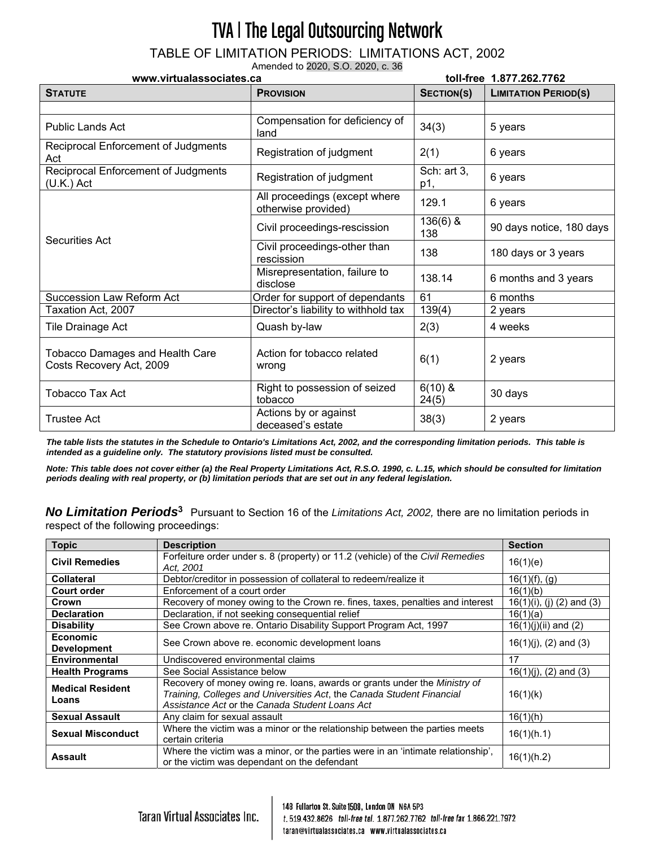TABLE OF LIMITATION PERIODS: LIMITATIONS ACT, 2002

Amended to 2020, S.O. 2020, c. 36

| www.virtualassociates.ca                                           |                                                      | toll-free 1.877.262.7762 |                             |
|--------------------------------------------------------------------|------------------------------------------------------|--------------------------|-----------------------------|
| <b>STATUTE</b>                                                     | <b>PROVISION</b>                                     | SECTION(S)               | <b>LIMITATION PERIOD(S)</b> |
|                                                                    |                                                      |                          |                             |
| <b>Public Lands Act</b>                                            | Compensation for deficiency of<br>land               | 34(3)                    | 5 years                     |
| Reciprocal Enforcement of Judgments<br>Act                         | Registration of judgment                             | 2(1)                     | 6 years                     |
| Reciprocal Enforcement of Judgments<br>$(U.K.)$ Act                | Registration of judgment                             | Sch: art 3,<br>p1,       | 6 years                     |
| <b>Securities Act</b>                                              | All proceedings (except where<br>otherwise provided) | 129.1                    | 6 years                     |
|                                                                    | Civil proceedings-rescission                         | $136(6)$ &<br>138        | 90 days notice, 180 days    |
|                                                                    | Civil proceedings-other than<br>rescission           | 138                      | 180 days or 3 years         |
|                                                                    | Misrepresentation, failure to<br>disclose            | 138.14                   | 6 months and 3 years        |
| <b>Succession Law Reform Act</b>                                   | Order for support of dependants                      | 61                       | 6 months                    |
| Taxation Act, 2007                                                 | Director's liability to withhold tax                 | 139(4)                   | 2 years                     |
| Tile Drainage Act                                                  | Quash by-law                                         | 2(3)                     | 4 weeks                     |
| <b>Tobacco Damages and Health Care</b><br>Costs Recovery Act, 2009 | Action for tobacco related<br>wrong                  | 6(1)                     | 2 years                     |
| Tobacco Tax Act                                                    | Right to possession of seized<br>tobacco             | $6(10)$ &<br>24(5)       | 30 days                     |
| <b>Trustee Act</b>                                                 | Actions by or against<br>deceased's estate           | 38(3)                    | 2 years                     |

*The table lists the statutes in the Schedule to Ontario's Limitations Act, 2002, and the corresponding limitation periods. This table is intended as a guideline only. The statutory provisions listed must be consulted.* 

*Note: This table does not cover either (a) the Real Property Limitations Act, R.S.O. 1990, c. L.15, which should be consulted for limitation periods dealing with real property, or (b) limitation periods that are set out in any federal legislation.* 

*No Limitation Periods***<sup>3</sup>**Pursuant to Section 16 of the *Limitations Act, 2002,* there are no limitation periods in respect of the following proceedings:

| <b>Topic</b>                          | <b>Description</b>                                                                                                                                                                                   | <b>Section</b>            |
|---------------------------------------|------------------------------------------------------------------------------------------------------------------------------------------------------------------------------------------------------|---------------------------|
| <b>Civil Remedies</b>                 | Forfeiture order under s. 8 (property) or 11.2 (vehicle) of the Civil Remedies<br>Act. 2001                                                                                                          | 16(1)(e)                  |
| <b>Collateral</b>                     | Debtor/creditor in possession of collateral to redeem/realize it                                                                                                                                     | $16(1)(f)$ , (g)          |
| <b>Court order</b>                    | Enforcement of a court order                                                                                                                                                                         | 16(1)(b)                  |
| Crown                                 | Recovery of money owing to the Crown re. fines, taxes, penalties and interest                                                                                                                        | 16(1)(i), (j) (2) and (3) |
| <b>Declaration</b>                    | Declaration, if not seeking consequential relief                                                                                                                                                     | 16(1)(a)                  |
| <b>Disability</b>                     | See Crown above re. Ontario Disability Support Program Act, 1997                                                                                                                                     | $16(1)(j)(ii)$ and $(2)$  |
| <b>Economic</b><br><b>Development</b> | See Crown above re. economic development loans                                                                                                                                                       | $16(1)(j)$ , (2) and (3)  |
| <b>Environmental</b>                  | Undiscovered environmental claims                                                                                                                                                                    | 17                        |
| <b>Health Programs</b>                | See Social Assistance below                                                                                                                                                                          | $16(1)(j)$ , (2) and (3)  |
| <b>Medical Resident</b><br>Loans      | Recovery of money owing re. loans, awards or grants under the Ministry of<br>Training, Colleges and Universities Act, the Canada Student Financial<br>Assistance Act or the Canada Student Loans Act | 16(1)(k)                  |
| <b>Sexual Assault</b>                 | Any claim for sexual assault                                                                                                                                                                         | 16(1)(h)                  |
| <b>Sexual Misconduct</b>              | Where the victim was a minor or the relationship between the parties meets<br>certain criteria                                                                                                       | 16(1)(h.1)                |
| <b>Assault</b>                        | Where the victim was a minor, or the parties were in an 'intimate relationship',<br>or the victim was dependant on the defendant                                                                     | 16(1)(h.2)                |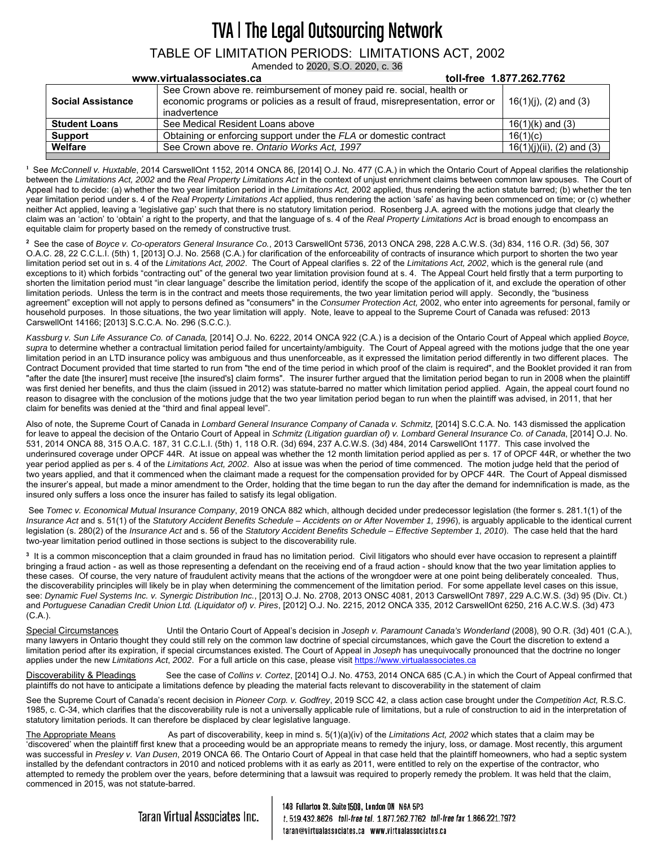#### TABLE OF LIMITATION PERIODS: LIMITATIONS ACT, 2002 Amended to 2020, S.O. 2020, c. 36

|                          | www.virtualassociates.ca                                                                                                                                                 | toll-free 1.877.262.7762     |
|--------------------------|--------------------------------------------------------------------------------------------------------------------------------------------------------------------------|------------------------------|
| <b>Social Assistance</b> | See Crown above re. reimbursement of money paid re. social, health or<br>economic programs or policies as a result of fraud, misrepresentation, error or<br>inadvertence | $16(1)(i)$ , (2) and (3)     |
| <b>Student Loans</b>     | See Medical Resident Loans above                                                                                                                                         | $16(1)(k)$ and $(3)$         |
| Support                  | Obtaining or enforcing support under the FLA or domestic contract                                                                                                        | 16(1)(c)                     |
| Welfare                  | See Crown above re. Ontario Works Act, 1997                                                                                                                              | $16(1)(i)(ii)$ , (2) and (3) |
|                          |                                                                                                                                                                          |                              |

**1** See *McConnell v. Huxtable*, 2014 CarswellOnt 1152, 2014 ONCA 86, [2014] O.J. No. 477 (C.A.) in which the Ontario Court of Appeal clarifies the relationship between the *Limitations Act, 2002* and the *Real Property Limitations Act* in the context of unjust enrichment claims between common law spouses. The Court of Appeal had to decide: (a) whether the two year limitation period in the *Limitations Act,* 2002 applied, thus rendering the action statute barred; (b) whether the ten year limitation period under s. 4 of the *Real Property Limitations Act* applied, thus rendering the action 'safe' as having been commenced on time; or (c) whether neither Act applied, leaving a 'legislative gap' such that there is no statutory limitation period. Rosenberg J.A. agreed with the motions judge that clearly the claim was an 'action' to 'obtain' a right to the property, and that the language of s. 4 of the *Real Property Limitations Act* is broad enough to encompass an equitable claim for property based on the remedy of constructive trust.

**<sup>2</sup>** See the case of *Boyce v. Co-operators General Insurance Co.*, 2013 CarswellOnt 5736, 2013 ONCA 298, 228 A.C.W.S. (3d) 834, 116 O.R. (3d) 56, 307 O.A.C. 28, 22 C.C.L.I. (5th) 1, [2013] O.J. No. 2568 (C.A.) for clarification of the enforceability of contracts of insurance which purport to shorten the two year limitation period set out in s. 4 of the *Limitations Act, 2002*. The Court of Appeal clarifies s. 22 of the *Limitations Act, 2002*, which is the general rule (and exceptions to it) which forbids "contracting out" of the general two year limitation provision found at s. 4. The Appeal Court held firstly that a term purporting to shorten the limitation period must "in clear language" describe the limitation period, identify the scope of the application of it, and exclude the operation of other limitation periods. Unless the term is in the contract and meets those requirements, the two year limitation period will apply. Secondly, the "business agreement" exception will not apply to persons defined as "consumers" in the *Consumer Protection Act,* 2002, who enter into agreements for personal, family or household purposes. In those situations, the two year limitation will apply. Note, leave to appeal to the Supreme Court of Canada was refused: 2013 CarswellOnt 14166; [2013] S.C.C.A. No. 296 (S.C.C.).

*Kassburg v. Sun Life Assurance Co. of Canada,* [2014] O.J. No. 6222, 2014 ONCA 922 (C.A.) is a decision of the Ontario Court of Appeal which applied *Boyce, supra* to determine whether a contractual limitation period failed for uncertainty/ambiguity. The Court of Appeal agreed with the motions judge that the one year limitation period in an LTD insurance policy was ambiguous and thus unenforceable, as it expressed the limitation period differently in two different places. The Contract Document provided that time started to run from "the end of the time period in which proof of the claim is required", and the Booklet provided it ran from "after the date [the insurer] must receive [the insured's] claim forms". The insurer further arqued that the limitation period began to run in 2008 when the plaintiff was first denied her benefits, and thus the claim (issued in 2012) was statute-barred no matter which limitation period applied. Again, the appeal court found no reason to disagree with the conclusion of the motions judge that the two year limitation period began to run when the plaintiff was advised, in 2011, that her claim for benefits was denied at the "third and final appeal level".

Also of note, the Supreme Court of Canada in *Lombard General Insurance Company of Canada v. Schmitz*, [2014] S.C.C.A. No. 143 dismissed the application for leave to appeal the decision of the Ontario Court of Appeal in *Schmitz (Litigation guardian of) v. Lombard General Insurance Co. of Canada*, [2014] O.J. No. 531, 2014 ONCA 88, 315 O.A.C. 187, 31 C.C.L.I. (5th) 1, 118 O.R. (3d) 694, 237 A.C.W.S. (3d) 484, 2014 CarswellOnt 1177. This case involved the underinsured coverage under OPCF 44R. At issue on appeal was whether the 12 month limitation period applied as per s. 17 of OPCF 44R, or whether the two year period applied as per s. 4 of the *Limitations Act, 2002*. Also at issue was when the period of time commenced. The motion judge held that the period of two years applied, and that it commenced when the claimant made a request for the compensation provided for by OPCF 44R. The Court of Appeal dismissed the insurer's appeal, but made a minor amendment to the Order, holding that the time began to run the day after the demand for indemnification is made, as the insured only suffers a loss once the insurer has failed to satisfy its legal obligation.

 See *Tomec v. Economical Mutual Insurance Company*, 2019 ONCA 882 which, although decided under predecessor legislation (the former s. 281.1(1) of the *Insurance Act* and s. 51(1) of the *Statutory Accident Benefits Schedule – Accidents on or After November 1, 1996*), is arguably applicable to the identical current legislation (s. 280(2) of the *Insurance Act* and s. 56 of the *Statutory Accident Benefits Schedule – Effective September 1, 2010*). The case held that the hard two-year limitation period outlined in those sections is subject to the discoverability rule.

**<sup>3</sup>** It is a common misconception that a claim grounded in fraud has no limitation period. Civil litigators who should ever have occasion to represent a plaintiff bringing a fraud action - as well as those representing a defendant on the receiving end of a fraud action - should know that the two year limitation applies to these cases. Of course, the very nature of fraudulent activity means that the actions of the wrongdoer were at one point being deliberately concealed. Thus, the discoverability principles will likely be in play when determining the commencement of the limitation period. For some appellate level cases on this issue, see: *Dynamic Fuel Systems Inc. v. Synergic Distribution Inc.*, [2013] O.J. No. 2708, 2013 ONSC 4081, 2013 CarswellOnt 7897, 229 A.C.W.S. (3d) 95 (Div. Ct.) and *Portuguese Canadian Credit Union Ltd. (Liquidator of) v. Pires*, [2012] O.J. No. 2215, 2012 ONCA 335, 2012 CarswellOnt 6250, 216 A.C.W.S. (3d) 473 (C.A.).

Special Circumstances Until the Ontario Court of Appeal's decision in *Joseph v. Paramount Canada's Wonderland* (2008), 90 O.R. (3d) 401 (C.A.), many lawyers in Ontario thought they could still rely on the common law doctrine of special circumstances, which gave the Court the discretion to extend a limitation period after its expiration, if special circumstances existed. The Court of Appeal in *Joseph* has unequivocally pronounced that the doctrine no longer applies under the new *Limitations Act*, *2002*. For a full article on this case, please visit https://www.virtualassociates.ca

Discoverability & Pleadings See the case of *Collins v. Cortez*, [2014] O.J. No. 4753, 2014 ONCA 685 (C.A.) in which the Court of Appeal confirmed that plaintiffs do not have to anticipate a limitations defence by pleading the material facts relevant to discoverability in the statement of claim

See the Supreme Court of Canada's recent decision in *Pioneer Corp. v. Godfrey*, 2019 SCC 42, a class action case brought under the *Competition Act,* R.S.C. 1985, c. C-34, which clarifies that the discoverability rule is not a universally applicable rule of limitations, but a rule of construction to aid in the interpretation of statutory limitation periods. It can therefore be displaced by clear legislative language.

The Appropriate Means As part of discoverability, keep in mind s. 5(1)(a)(iv) of the *Limitations Act, 2002* which states that a claim may be 'discovered' when the plaintiff first knew that a proceeding would be an appropriate means to remedy the injury, loss, or damage. Most recently, this argument was successful in *Presley v. Van Dusen*, 2019 ONCA 66. The Ontario Court of Appeal in that case held that the plaintiff homeowners, who had a septic system installed by the defendant contractors in 2010 and noticed problems with it as early as 2011, were entitled to rely on the expertise of the contractor, who attempted to remedy the problem over the years, before determining that a lawsuit was required to properly remedy the problem. It was held that the claim, commenced in 2015, was not statute-barred.

 $\mathbf{I}$